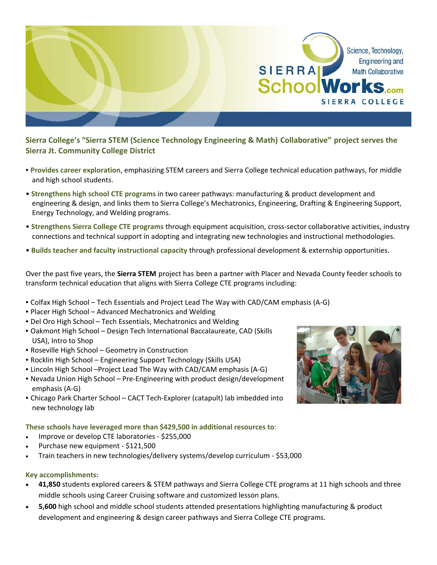

**Sierra College's "Sierra STEM (Science Technology Engineering & Math) Collaborative" project serves the Sierra Jt. Community College District**

- **Provides career exploration**, emphasizing STEM careers and Sierra College technical education pathways, for middle and high school students.
- **Strengthens high school CTE programs** in two career pathways: manufacturing & product development and engineering & design, and links them to Sierra College's Mechatronics, Engineering, Drafting & Engineering Support, Energy Technology, and Welding programs.
- **Strengthens Sierra College CTE programs** through equipment acquisition, cross‐sector collaborative activities, industry connections and technical support in adopting and integrating new technologies and instructional methodologies.
- **Builds teacher and faculty instructional capacity** through professional development & externship opportunities.

Over the past five years, the **Sierra STEM** project has been a partner with Placer and Nevada County feeder schools to transform technical education that aligns with Sierra College CTE programs including:

- Colfax High School Tech Essentials and Project Lead The Way with CAD/CAM emphasis (A‐G)
- Placer High School Advanced Mechatronics and Welding
- Del Oro High School Tech Essentials, Mechatronics and Welding
- Oakmont High School Design Tech International Baccalaureate, CAD (Skills USA), Intro to Shop
- Roseville High School Geometry in Construction
- Rocklin High School Engineering Support Technology (Skills USA)
- Lincoln High School –Project Lead The Way with CAD/CAM emphasis (A‐G)
- Nevada Union High School Pre‐Engineering with product design/development emphasis (A‐G)
- Chicago Park Charter School CACT Tech‐Explorer (catapult) lab imbedded into new technology lab

## **These schools have leveraged more than \$429,500 in additional resources to**:

- Improve or develop CTE laboratories ‐ \$255,000
- Purchase new equipment ‐ \$121,500
- Train teachers in new technologies/delivery systems/develop curriculum ‐ \$53,000

## **Key accomplishments:**

- **41,850** students explored careers & STEM pathways and Sierra College CTE programs at 11 high schools and three middle schools using Career Cruising software and customized lesson plans.
- **5,600** high school and middle school students attended presentations highlighting manufacturing & product development and engineering & design career pathways and Sierra College CTE programs.